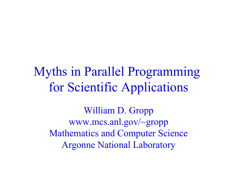Myths in Parallel Programming for Scientific Applications

William D. Gropp www.mcs.anl.gov/~gropp Mathematics and Computer Science Argonne National Laboratory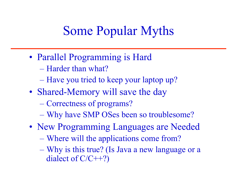#### Some Popular Myths

- Parallel Programming is Hard
	- Harder than what?
	- Have you tried to keep your laptop up?
- Shared-Memory will save the day
	- Correctness of programs?
	- Why have SMP OSes been so troublesome?
- New Programming Languages are Needed
	- Where will the applications come from?
	- Why is this true? (Is Java a new language or a dialect of C/C++?)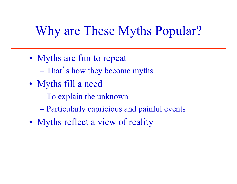### Why are These Myths Popular?

- Myths are fun to repeat
	- That's how they become myths
- Myths fill a need
	- To explain the unknown
	- Particularly capricious and painful events
- Myths reflect a view of reality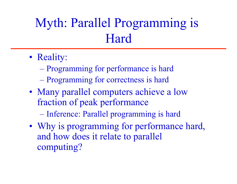## Myth: Parallel Programming is Hard

- Reality:
	- Programming for performance is hard
	- Programming for correctness is hard
- Many parallel computers achieve a low fraction of peak performance

– Inference: Parallel programming is hard

• Why is programming for performance hard, and how does it relate to parallel computing?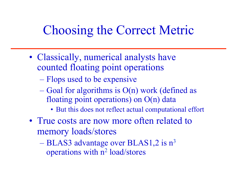### Choosing the Correct Metric

- Classically, numerical analysts have counted floating point operations
	- Flops used to be expensive
	- Goal for algorithms is O(n) work (defined as floating point operations) on O(n) data
		- But this does not reflect actual computational effort
- True costs are now more often related to memory loads/stores
	- $-$  BLAS3 advantage over BLAS1,2 is  $n^3$ operations with n2 load/stores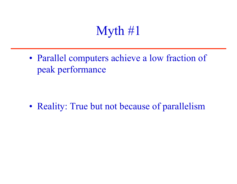### Myth #1

• Parallel computers achieve a low fraction of peak performance

• Reality: True but not because of parallelism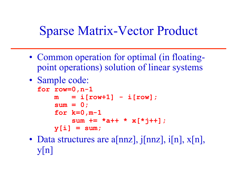### Sparse Matrix-Vector Product

- Common operation for optimal (in floatingpoint operations) solution of linear systems
- Sample code:

```
for row=0,n-1 
m = i[row+1] - i[row]; sum = 0; 
 for k=0,m-1 
     sum += *a++ * x[*j++]; 
 y[i] = sum;
```
• Data structures are a[nnz], j[nnz], i[n],  $x[n]$ ,  $y[n]$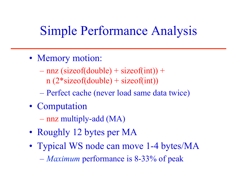### Simple Performance Analysis

- Memory motion:
	- $-$  nnz (sizeof(double) + sizeof(int)) +  $n (2 * size of (double) + size of (int))$
	- Perfect cache (never load same data twice)
- Computation
	- nnz multiply-add (MA)
- Roughly 12 bytes per MA
- Typical WS node can move 1-4 bytes/MA – *Maximum* performance is 8-33% of peak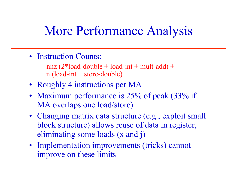#### More Performance Analysis

- Instruction Counts:
	- $-$  nnz (2\*load-double + load-int + mult-add) + n (load-int + store-double)
- Roughly 4 instructions per MA
- Maximum performance is 25% of peak (33% if MA overlaps one load/store)
- Changing matrix data structure (e.g., exploit small block structure) allows reuse of data in register, eliminating some loads (x and j)
- Implementation improvements (tricks) cannot improve on these limits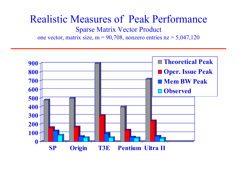#### Realistic Measures of Peak Performance

Sparse Matrix Vector Product

one vector, matrix size, m =  $90,708$ , nonzero entries nz =  $5,047,120$ 

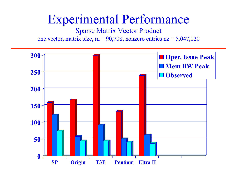#### Experimental Performance

Sparse Matrix Vector Product

one vector, matrix size, m =  $90,708$ , nonzero entries nz =  $5,047,120$ 

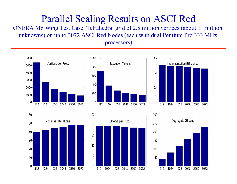#### Parallel Scaling Results on ASCI Red

ONERA M6 Wing Test Case, Tetrahedral grid of 2.8 million vertices (about 11 million unknowns) on up to 3072 ASCI Red Nodes (each with dual Pentium Pro 333 MHz processors)



 $50$ 

512

1024 1536

2048

2560 3072



 $10<sup>1</sup>$ 

 $\cap$ 

512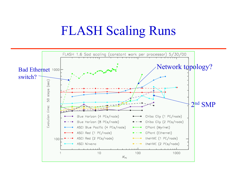#### FLASH Scaling Runs

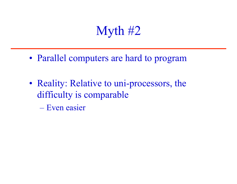### Myth #2

- Parallel computers are hard to program
- Reality: Relative to uni-processors, the difficulty is comparable
	- Even easier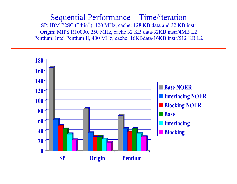Sequential Performance—Time/iteration SP: IBM P2SC ("thin"), 120 MHz, cache: 128 KB data and 32 KB instr Origin: MIPS R10000, 250 MHz, cache 32 KB data/32KB instr/4MB L2 Pentium: Intel Pentium II, 400 MHz, cache: 16KBdata/16KB instr/512 KB L2

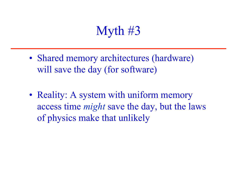### Myth #3

- Shared memory architectures (hardware) will save the day (for software)
- Reality: A system with uniform memory access time *might* save the day, but the laws of physics make that unlikely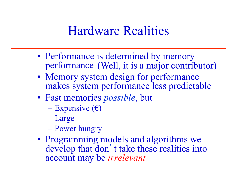#### Hardware Realities

- Performance is determined by memory performance (Well, it is a major contributor)
- Memory system design for performance makes system performance less predictable
- Fast memories *possible*, but
	- Expensive  $(\epsilon)$
	- Large
	- Power hungry
- Programming models and algorithms we develop that don't take these realities into account may be *irrelevant*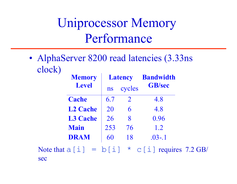### Uniprocessor Memory Performance

• AlphaServer 8200 read latencies (3.33ns) clock)

|     | <b>Memory</b>   | <b>Latency</b> |                | <b>Bandwidth</b>                                |  |
|-----|-----------------|----------------|----------------|-------------------------------------------------|--|
|     | <b>Level</b>    | <b>ns</b>      | cycles         | <b>GB/sec</b>                                   |  |
|     | <b>Cache</b>    | 6.7            | $\overline{2}$ | 4.8                                             |  |
|     | <b>L2 Cache</b> | 20             | 6              | 4.8                                             |  |
|     | <b>L3 Cache</b> | 26             | 8              | 0.96                                            |  |
|     | <b>Main</b>     | 253            | 76             | 1.2                                             |  |
|     | <b>DRAM</b>     | 60             | 18             | $.03 - .1$                                      |  |
| sec |                 |                |                | Note that $a[i] = b[i] * c[i]$ requires 7.2 GB/ |  |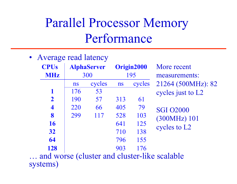## Parallel Processor Memory Performance

• Average read latency

| <b>CPUs</b><br><b>MHz</b> | <b>AlphaServer</b><br>300 |        | Origin2000<br>195 |        | More recent<br>measurements:                 |
|---------------------------|---------------------------|--------|-------------------|--------|----------------------------------------------|
|                           | ns                        | cycles | ns                | cycles | 21264 (500MHz): 82                           |
| 1                         | 176                       | 53     |                   |        | cycles just to L2                            |
| $\overline{2}$            | 190                       | 57     | 313               | 61     |                                              |
| $\overline{\mathbf{4}}$   | 220                       | 66     | 405               | 79     | <b>SGI 02000</b>                             |
| 8                         | 299                       | 117    | 528               | 103    | (300MHz) 101                                 |
| 16                        |                           |        | 641               | 125    | cycles to L2                                 |
| 32                        |                           |        | 710               | 138    |                                              |
| 64                        |                           |        | 796               | 155    |                                              |
| 128                       |                           |        | 903               | 176    |                                              |
|                           |                           |        |                   |        | and worse (cluster and cluster-like scalable |

and choice-like scalable systems)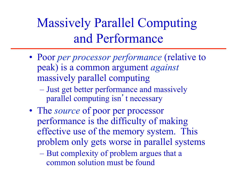# Massively Parallel Computing and Performance

- Poor *per processor performance* (relative to peak) is a common argument *against* massively parallel computing
	- Just get better performance and massively parallel computing isn't necessary
- The *source* of poor per processor performance is the difficulty of making effective use of the memory system. This problem only gets worse in parallel systems

– But complexity of problem argues that a common solution must be found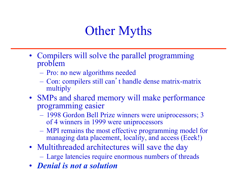### Other Myths

- Compilers will solve the parallel programming problem
	- Pro: no new algorithms needed
	- Con: compilers still can't handle dense matrix-matrix multiply
- SMPs and shared memory will make performance programming easier
	- 1998 Gordon Bell Prize winners were uniprocessors; 3 of 4 winners in 1999 were uniprocessors
	- MPI remains the most effective programming model for managing data placement, locality, and access (Eeek!)
- Multithreaded architectures will save the day
	- Large latencies require enormous numbers of threads
- *Denial is not a solution*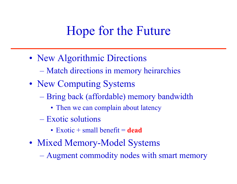#### Hope for the Future

- New Algorithmic Directions
	- Match directions in memory heirarchies
- New Computing Systems
	- Bring back (affordable) memory bandwidth
		- Then we can complain about latency
	- Exotic solutions
		- Exotic + small benefit = **dead**
- Mixed Memory-Model Systems
	- Augment commodity nodes with smart memory